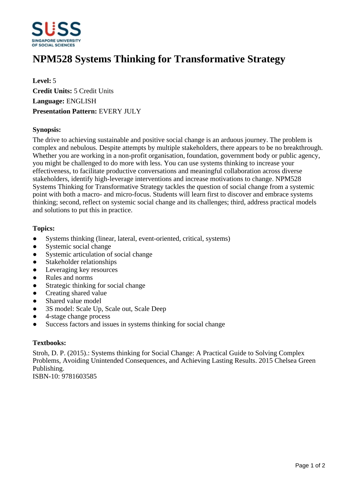

# **NPM528 Systems Thinking for Transformative Strategy**

**Level:** 5 **Credit Units:** 5 Credit Units **Language:** ENGLISH **Presentation Pattern:** EVERY JULY

### **Synopsis:**

The drive to achieving sustainable and positive social change is an arduous journey. The problem is complex and nebulous. Despite attempts by multiple stakeholders, there appears to be no breakthrough. Whether you are working in a non-profit organisation, foundation, government body or public agency, you might be challenged to do more with less. You can use systems thinking to increase your effectiveness, to facilitate productive conversations and meaningful collaboration across diverse stakeholders, identify high-leverage interventions and increase motivations to change. NPM528 Systems Thinking for Transformative Strategy tackles the question of social change from a systemic point with both a macro- and micro-focus. Students will learn first to discover and embrace systems thinking; second, reflect on systemic social change and its challenges; third, address practical models and solutions to put this in practice.

#### **Topics:**

- Systems thinking (linear, lateral, event-oriented, critical, systems)
- Systemic social change
- Systemic articulation of social change
- Stakeholder relationships
- Leveraging key resources
- Rules and norms
- Strategic thinking for social change
- Creating shared value
- Shared value model
- 3S model: Scale Up, Scale out, Scale Deep
- Ɣ4-stage change process
- Success factors and issues in systems thinking for social change

## **Textbooks:**

Stroh, D. P. (2015).: Systems thinking for Social Change: A Practical Guide to Solving Complex Problems, Avoiding Unintended Consequences, and Achieving Lasting Results. 2015 Chelsea Green Publishing. ISBN-10: 9781603585